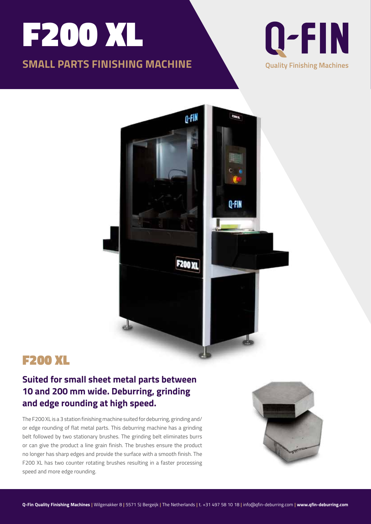# F200 XL

## **SMALL PARTS FINISHING MACHINE**





# F200 XL

### **Suited for small sheet metal parts between 10 and 200 mm wide. Deburring, grinding and edge rounding at high speed.**

The F200 XL is a 3 station finishing machine suited for deburring, grinding and/ or edge rounding of flat metal parts. This deburring machine has a grinding belt followed by two stationary brushes. The grinding belt eliminates burrs or can give the product a line grain finish. The brushes ensure the product no longer has sharp edges and provide the surface with a smooth finish. The F200 XL has two counter rotating brushes resulting in a faster processing speed and more edge rounding.